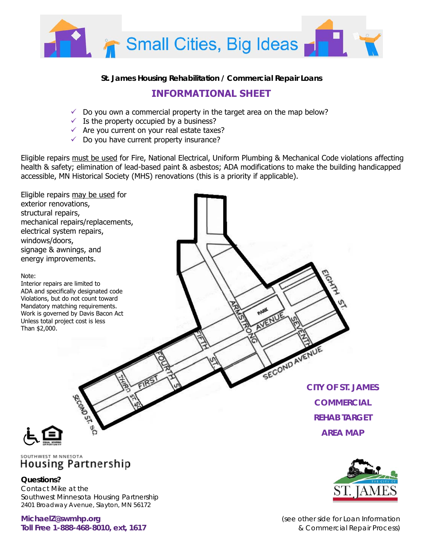

## **St. James Housing Rehabilitation / Commercial Repair Loans**

## **INFORMATIONAL SHEET**

- $\checkmark$  Do you own a commercial property in the target area on the map below?
- $\checkmark$  Is the property occupied by a business?
- $\checkmark$  Are you current on your real estate taxes?
- $\checkmark$  Do you have current property insurance?

**Questions?** 

Contact Mike at the

Southwest Minnesota Housing Partnership 2401 Broadway Avenue, Slayton, MN 56172

Eligible repairs must be used for Fire, National Electrical, Uniform Plumbing & Mechanical Code violations affecting health & safety; elimination of lead-based paint & asbestos; ADA modifications to make the building handicapped accessible, MN Historical Society (MHS) renovations (this is a priority if applicable).





**MichaelZ@swmhp.org** *(see other side for Loan Information*  **Toll Free 1-888-468-8010, ext, 1617** *& Commercial Repair Process)*